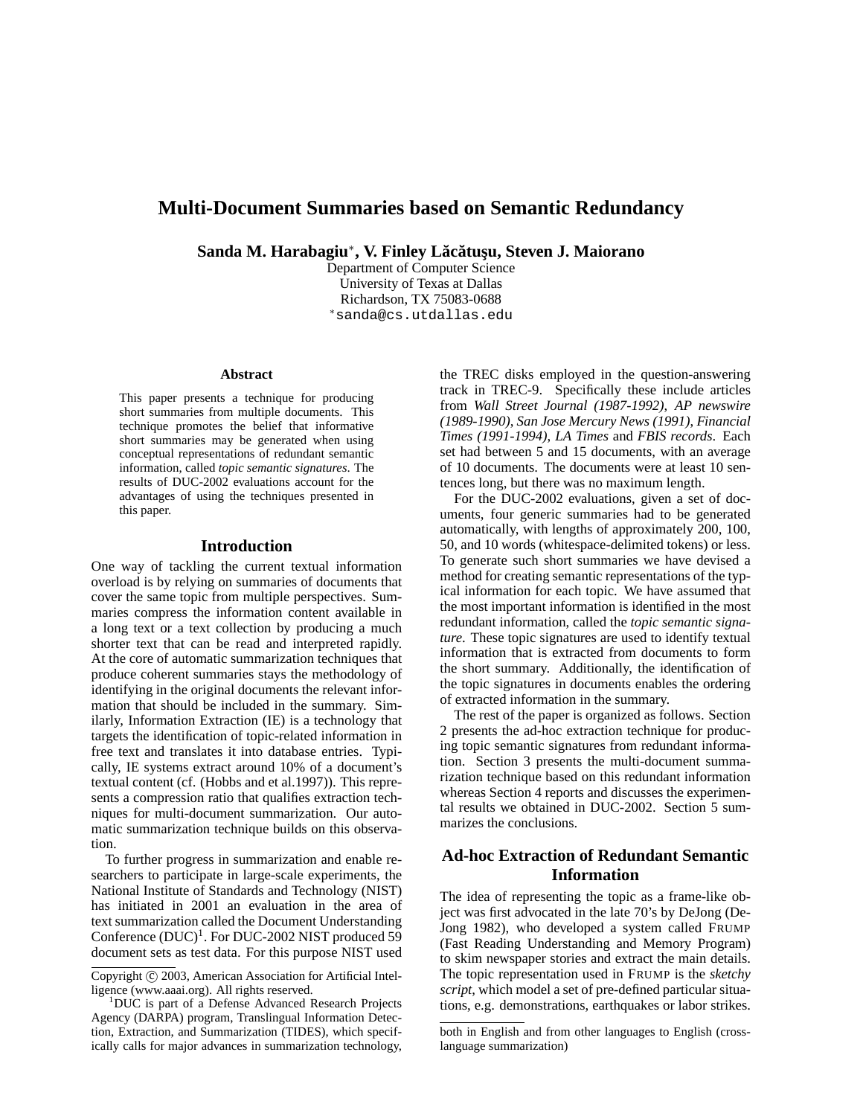# **Multi-Document Summaries based on Semantic Redundancy**

**Sanda M. Harabagiu**<sup>∗</sup> **, V. Finley Lac˘ atus¸u, Steven J. Maiorano ˘**

Department of Computer Science University of Texas at Dallas Richardson, TX 75083-0688 <sup>∗</sup>sanda@cs.utdallas.edu

#### **Abstract**

This paper presents a technique for producing short summaries from multiple documents. This technique promotes the belief that informative short summaries may be generated when using conceptual representations of redundant semantic information, called *topic semantic signatures*. The results of DUC-2002 evaluations account for the advantages of using the techniques presented in this paper.

### **Introduction**

One way of tackling the current textual information overload is by relying on summaries of documents that cover the same topic from multiple perspectives. Summaries compress the information content available in a long text or a text collection by producing a much shorter text that can be read and interpreted rapidly. At the core of automatic summarization techniques that produce coherent summaries stays the methodology of identifying in the original documents the relevant information that should be included in the summary. Similarly, Information Extraction (IE) is a technology that targets the identification of topic-related information in free text and translates it into database entries. Typically, IE systems extract around 10% of a document's textual content (cf. (Hobbs and et al.1997)). This represents a compression ratio that qualifies extraction techniques for multi-document summarization. Our automatic summarization technique builds on this observation.

To further progress in summarization and enable researchers to participate in large-scale experiments, the National Institute of Standards and Technology (NIST) has initiated in 2001 an evaluation in the area of text summarization called the Document Understanding Conference  $(DUC)^1$ . For DUC-2002 NIST produced 59 document sets as test data. For this purpose NIST used

Copyright © 2003, American Association for Artificial Intelligence (www.aaai.org). All rights reserved.

<sup>1</sup>DUC is part of a Defense Advanced Research Projects Agency (DARPA) program, Translingual Information Detection, Extraction, and Summarization (TIDES), which specifically calls for major advances in summarization technology, the TREC disks employed in the question-answering track in TREC-9. Specifically these include articles from *Wall Street Journal (1987-1992)*, *AP newswire (1989-1990)*, *San Jose Mercury News (1991)*, *Financial Times (1991-1994)*, *LA Times* and *FBIS records*. Each set had between 5 and 15 documents, with an average of 10 documents. The documents were at least 10 sentences long, but there was no maximum length.

For the DUC-2002 evaluations, given a set of documents, four generic summaries had to be generated automatically, with lengths of approximately 200, 100, 50, and 10 words (whitespace-delimited tokens) or less. To generate such short summaries we have devised a method for creating semantic representations of the typical information for each topic. We have assumed that the most important information is identified in the most redundant information, called the *topic semantic signature*. These topic signatures are used to identify textual information that is extracted from documents to form the short summary. Additionally, the identification of the topic signatures in documents enables the ordering of extracted information in the summary.

The rest of the paper is organized as follows. Section 2 presents the ad-hoc extraction technique for producing topic semantic signatures from redundant information. Section 3 presents the multi-document summarization technique based on this redundant information whereas Section 4 reports and discusses the experimental results we obtained in DUC-2002. Section 5 summarizes the conclusions.

## **Ad-hoc Extraction of Redundant Semantic Information**

The idea of representing the topic as a frame-like object was first advocated in the late 70's by DeJong (De-Jong 1982), who developed a system called FRUMP (Fast Reading Understanding and Memory Program) to skim newspaper stories and extract the main details. The topic representation used in FRUMP is the *sketchy script*, which model a set of pre-defined particular situations, e.g. demonstrations, earthquakes or labor strikes.

both in English and from other languages to English (crosslanguage summarization)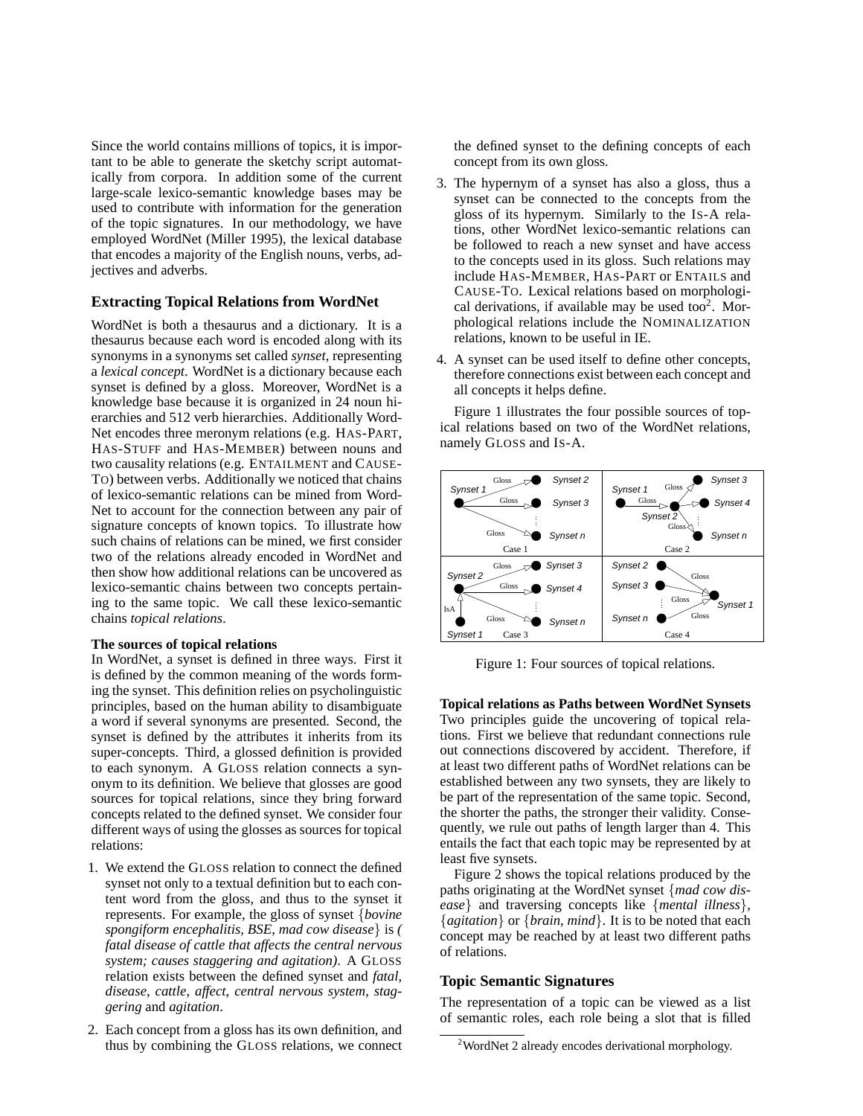Since the world contains millions of topics, it is important to be able to generate the sketchy script automatically from corpora. In addition some of the current large-scale lexico-semantic knowledge bases may be used to contribute with information for the generation of the topic signatures. In our methodology, we have employed WordNet (Miller 1995), the lexical database that encodes a majority of the English nouns, verbs, adjectives and adverbs.

### **Extracting Topical Relations from WordNet**

WordNet is both a thesaurus and a dictionary. It is a thesaurus because each word is encoded along with its synonyms in a synonyms set called *synset*, representing a *lexical concept*. WordNet is a dictionary because each synset is defined by a gloss. Moreover, WordNet is a knowledge base because it is organized in 24 noun hierarchies and 512 verb hierarchies. Additionally Word-Net encodes three meronym relations (e.g. HAS-PART, HAS-STUFF and HAS-MEMBER) between nouns and two causality relations (e.g. ENTAILMENT and CAUSE-TO) between verbs. Additionally we noticed that chains of lexico-semantic relations can be mined from Word-Net to account for the connection between any pair of signature concepts of known topics. To illustrate how such chains of relations can be mined, we first consider two of the relations already encoded in WordNet and then show how additional relations can be uncovered as lexico-semantic chains between two concepts pertaining to the same topic. We call these lexico-semantic chains *topical relations*.

#### **The sources of topical relations**

In WordNet, a synset is defined in three ways. First it is defined by the common meaning of the words forming the synset. This definition relies on psycholinguistic principles, based on the human ability to disambiguate a word if several synonyms are presented. Second, the synset is defined by the attributes it inherits from its super-concepts. Third, a glossed definition is provided to each synonym. A GLOSS relation connects a synonym to its definition. We believe that glosses are good sources for topical relations, since they bring forward concepts related to the defined synset. We consider four different ways of using the glosses as sources for topical relations:

- 1. We extend the GLOSS relation to connect the defined synset not only to a textual definition but to each content word from the gloss, and thus to the synset it represents. For example, the gloss of synset {*bovine spongiform encephalitis, BSE, mad cow disease*} is *( fatal disease of cattle that affects the central nervous system; causes staggering and agitation)*. A GLOSS relation exists between the defined synset and *fatal*, *disease*, *cattle*, *affect*, *central nervous system*, *staggering* and *agitation*.
- 2. Each concept from a gloss has its own definition, and thus by combining the GLOSS relations, we connect

the defined synset to the defining concepts of each concept from its own gloss.

- 3. The hypernym of a synset has also a gloss, thus a synset can be connected to the concepts from the gloss of its hypernym. Similarly to the IS-A relations, other WordNet lexico-semantic relations can be followed to reach a new synset and have access to the concepts used in its gloss. Such relations may include HAS-MEMBER, HAS-PART or ENTAILS and CAUSE-TO. Lexical relations based on morphological derivations, if available may be used too $2$ . Morphological relations include the NOMINALIZATION relations, known to be useful in IE.
- 4. A synset can be used itself to define other concepts, therefore connections exist between each concept and all concepts it helps define.

Figure 1 illustrates the four possible sources of topical relations based on two of the WordNet relations, namely GLOSS and IS-A.



Figure 1: Four sources of topical relations.

**Topical relations as Paths between WordNet Synsets** Two principles guide the uncovering of topical relations. First we believe that redundant connections rule out connections discovered by accident. Therefore, if at least two different paths of WordNet relations can be established between any two synsets, they are likely to be part of the representation of the same topic. Second, the shorter the paths, the stronger their validity. Consequently, we rule out paths of length larger than 4. This entails the fact that each topic may be represented by at least five synsets.

Figure 2 shows the topical relations produced by the paths originating at the WordNet synset {*mad cow disease*} and traversing concepts like {*mental illness*}, {*agitation*} or {*brain, mind*}. It is to be noted that each concept may be reached by at least two different paths of relations.

#### **Topic Semantic Signatures**

The representation of a topic can be viewed as a list of semantic roles, each role being a slot that is filled

<sup>2</sup>WordNet 2 already encodes derivational morphology.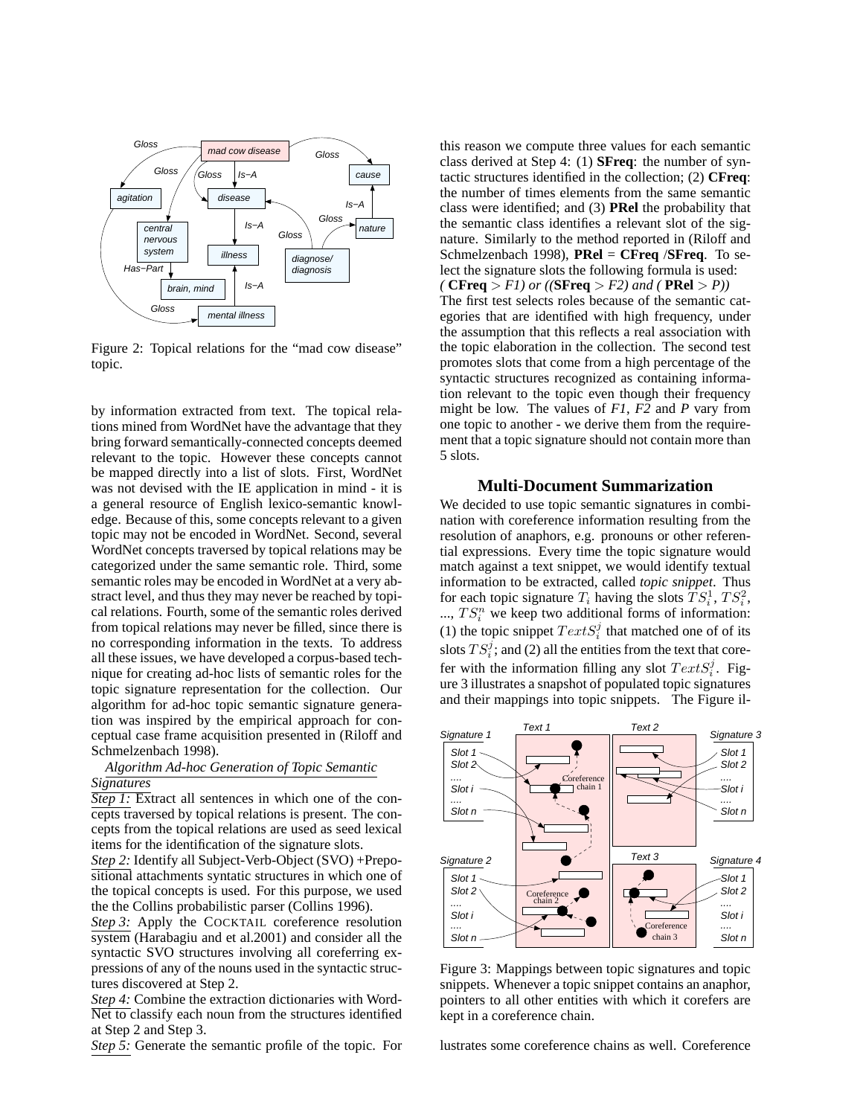

Figure 2: Topical relations for the "mad cow disease" topic.

by information extracted from text. The topical relations mined from WordNet have the advantage that they bring forward semantically-connected concepts deemed relevant to the topic. However these concepts cannot be mapped directly into a list of slots. First, WordNet was not devised with the IE application in mind - it is a general resource of English lexico-semantic knowledge. Because of this, some concepts relevant to a given topic may not be encoded in WordNet. Second, several WordNet concepts traversed by topical relations may be categorized under the same semantic role. Third, some semantic roles may be encoded in WordNet at a very abstract level, and thus they may never be reached by topical relations. Fourth, some of the semantic roles derived from topical relations may never be filled, since there is no corresponding information in the texts. To address all these issues, we have developed a corpus-based technique for creating ad-hoc lists of semantic roles for the topic signature representation for the collection. Our algorithm for ad-hoc topic semantic signature generation was inspired by the empirical approach for conceptual case frame acquisition presented in (Riloff and Schmelzenbach 1998).

### *Algorithm Ad-hoc Generation of Topic Semantic Signatures*

*Step 1:* Extract all sentences in which one of the concepts traversed by topical relations is present. The concepts from the topical relations are used as seed lexical items for the identification of the signature slots.

*Step 2:* Identify all Subject-Verb-Object (SVO) +Prepositional attachments syntatic structures in which one of the topical concepts is used. For this purpose, we used the the Collins probabilistic parser (Collins 1996).

*Step 3:* Apply the COCKTAIL coreference resolution system (Harabagiu and et al.2001) and consider all the syntactic SVO structures involving all coreferring expressions of any of the nouns used in the syntactic structures discovered at Step 2.

*Step 4:* Combine the extraction dictionaries with Word-Net to classify each noun from the structures identified at Step 2 and Step 3.

*Step 5:* Generate the semantic profile of the topic. For

this reason we compute three values for each semantic class derived at Step 4: (1) **SFreq**: the number of syntactic structures identified in the collection; (2) **CFreq**: the number of times elements from the same semantic class were identified; and (3) **PRel** the probability that the semantic class identifies a relevant slot of the signature. Similarly to the method reported in (Riloff and Schmelzenbach 1998), **PRel** = **CFreq** /**SFreq**. To select the signature slots the following formula is used: *(* **CFreq** > *F1) or ((***SFreq** > *F2) and (* **PRel** > *P))* The first test selects roles because of the semantic categories that are identified with high frequency, under the assumption that this reflects a real association with the topic elaboration in the collection. The second test promotes slots that come from a high percentage of the syntactic structures recognized as containing information relevant to the topic even though their frequency might be low. The values of *F1*, *F2* and *P* vary from one topic to another - we derive them from the requirement that a topic signature should not contain more than 5 slots.

### **Multi-Document Summarization**

We decided to use topic semantic signatures in combination with coreference information resulting from the resolution of anaphors, e.g. pronouns or other referential expressions. Every time the topic signature would match against a text snippet, we would identify textual information to be extracted, called *topic snippet*. Thus for each topic signature  $T_i$  having the slots  $TS_i^1$ ,  $TS_i^2$ , ...,  $TS_i^n$  we keep two additional forms of information: (1) the topic snippet  $TextS_i^j$  that matched one of of its slots  $TS_i^j$ ; and (2) all the entities from the text that corefer with the information filling any slot  $TextS_i^j$ . Figure 3 illustrates a snapshot of populated topic signatures and their mappings into topic snippets. The Figure il-



Figure 3: Mappings between topic signatures and topic snippets. Whenever a topic snippet contains an anaphor, pointers to all other entities with which it corefers are kept in a coreference chain.

lustrates some coreference chains as well. Coreference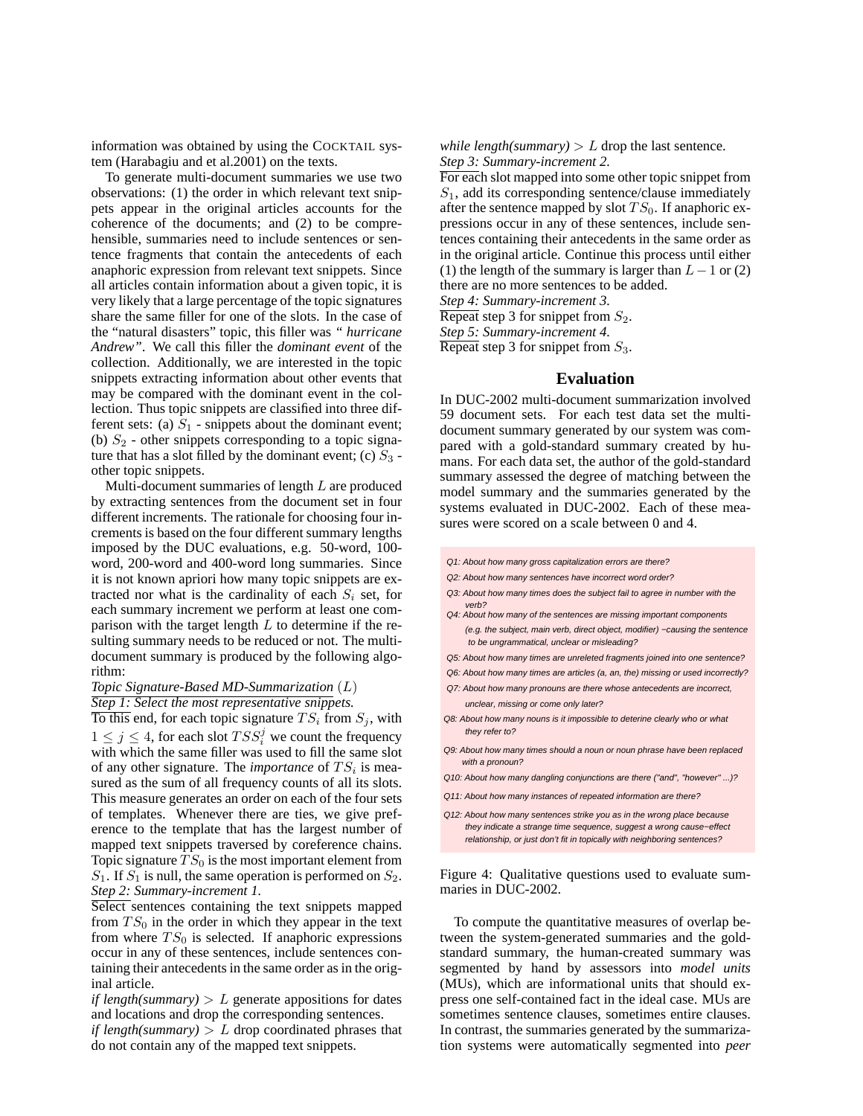information was obtained by using the COCKTAIL system (Harabagiu and et al.2001) on the texts.

To generate multi-document summaries we use two observations: (1) the order in which relevant text snippets appear in the original articles accounts for the coherence of the documents; and (2) to be comprehensible, summaries need to include sentences or sentence fragments that contain the antecedents of each anaphoric expression from relevant text snippets. Since all articles contain information about a given topic, it is very likely that a large percentage of the topic signatures share the same filler for one of the slots. In the case of the "natural disasters" topic, this filler was *" hurricane Andrew"*. We call this filler the *dominant event* of the collection. Additionally, we are interested in the topic snippets extracting information about other events that may be compared with the dominant event in the collection. Thus topic snippets are classified into three different sets: (a)  $S_1$  - snippets about the dominant event; (b)  $S_2$  - other snippets corresponding to a topic signature that has a slot filled by the dominant event; (c)  $S_3$  other topic snippets.

Multi-document summaries of length L are produced by extracting sentences from the document set in four different increments. The rationale for choosing four increments is based on the four different summary lengths imposed by the DUC evaluations, e.g. 50-word, 100 word, 200-word and 400-word long summaries. Since it is not known apriori how many topic snippets are extracted nor what is the cardinality of each  $S_i$  set, for each summary increment we perform at least one comparison with the target length  $L$  to determine if the resulting summary needs to be reduced or not. The multidocument summary is produced by the following algorithm:

#### *Topic Signature-Based MD-Summarization* (L) *Step 1: Select the most representative snippets.*

To this end, for each topic signature  $TS_i$  from  $S_j$ , with  $1 \leq j \leq 4$ , for each slot  $TSS_i^j$  we count the frequency with which the same filler was used to fill the same slot of any other signature. The *importance* of  $TS_i$  is measured as the sum of all frequency counts of all its slots. This measure generates an order on each of the four sets of templates. Whenever there are ties, we give preference to the template that has the largest number of mapped text snippets traversed by coreference chains. Topic signature  $TS_0$  is the most important element from  $S_1$ . If  $S_1$  is null, the same operation is performed on  $S_2$ . *Step 2: Summary-increment 1.*

Select sentences containing the text snippets mapped from  $TS_0$  in the order in which they appear in the text from where  $TS_0$  is selected. If anaphoric expressions occur in any of these sentences, include sentences containing their antecedents in the same order as in the original article.

*if length(summary)*  $> L$  generate appositions for dates and locations and drop the corresponding sentences. *if length(summary)*  $> L$  drop coordinated phrases that do not contain any of the mapped text snippets.

*while length(summary)*  $> L$  drop the last sentence. *Step 3: Summary-increment 2.*

For each slot mapped into some other topic snippet from  $S_1$ , add its corresponding sentence/clause immediately after the sentence mapped by slot  $TS_0$ . If anaphoric expressions occur in any of these sentences, include sentences containing their antecedents in the same order as in the original article. Continue this process until either (1) the length of the summary is larger than  $L-1$  or (2) there are no more sentences to be added.

*Step 4: Summary-increment 3.*

Repeat step 3 for snippet from  $S_2$ .

*Step 5: Summary-increment 4.*

Repeat step 3 for snippet from  $S_3$ .

#### **Evaluation**

In DUC-2002 multi-document summarization involved 59 document sets. For each test data set the multidocument summary generated by our system was compared with a gold-standard summary created by humans. For each data set, the author of the gold-standard summary assessed the degree of matching between the model summary and the summaries generated by the systems evaluated in DUC-2002. Each of these measures were scored on a scale between 0 and 4.

- Q1: About how many gross capitalization errors are there?
- Q2: About how many sentences have incorrect word order?
- verb? Q4: About how many of the sentences are missing important components Q3: About how many times does the subject fail to agree in number with the
- (e.g. the subject, main verb, direct object, modifier) −causing the sentence to be ungrammatical, unclear or misleading?
- Q5: About how many times are unreleted fragments joined into one sentence?
- Q6: About how many times are articles (a, an, the) missing or used incorrectly?
- unclear, missing or come only later? Q7: About how many pronouns are there whose antecedents are incorrect,
- Q8: About how many nouns is it impossible to deterine clearly who or what they refer to?
- Q9: About how many times should a noun or noun phrase have been replaced with a pronoun?
- Q10: About how many dangling conjunctions are there ("and", "however" ...)?
- Q11: About how many instances of repeated information are there?
- Q12: About how many sentences strike you as in the wrong place because they indicate a strange time sequence, suggest a wrong cause−effect relationship, or just don't fit in topically with neighboring sentences?

Figure 4: Qualitative questions used to evaluate summaries in DUC-2002.

To compute the quantitative measures of overlap between the system-generated summaries and the goldstandard summary, the human-created summary was segmented by hand by assessors into *model units* (MUs), which are informational units that should express one self-contained fact in the ideal case. MUs are sometimes sentence clauses, sometimes entire clauses. In contrast, the summaries generated by the summarization systems were automatically segmented into *peer*